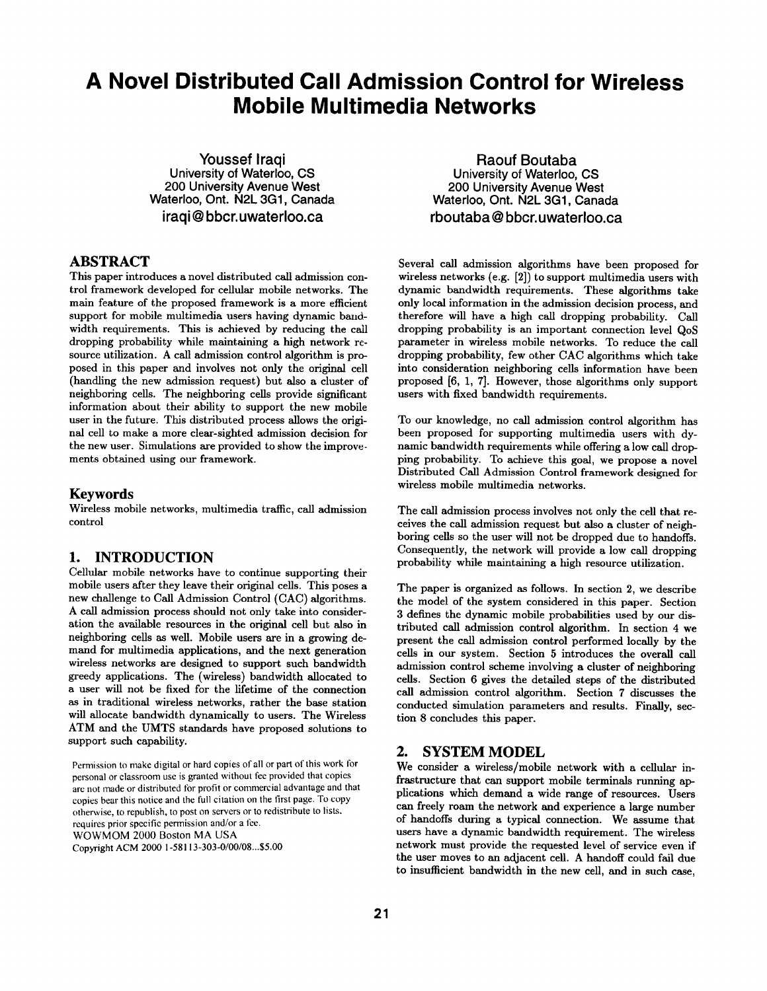# **A Novel Distributed Call Admission Control for Wireless Mobile Multimedia Networks**

**Youssef Iraqi University of Waterloo, CS 200 University Avenue West Waterloo, Ont. N2L 3G1, Canada iraqi @ bbcr. uwaterloo.ca** 

# **ABSTRACT**

This paper introduces a novel distributed call admission control framework developed for cellular mobile networks. The main feature of the proposed framework is a more efficient support for mobile multimedia users having dynamic bandwidth requirements. This is achieved by reducing the call dropping probability while maintaining a high network resource utilization. A call admission control algorithm is proposed in this paper and involves not only the original cell (handling the new admission request) but also a cluster of neighboring cells. The neighboring cells provide significant information about their ability to support the new mobile user in the future. This distributed process allows the original cell to make a more clear-sighted admission decision for the new user. Simulations are provided to show the improvements obtained using our framework.

### **Keywords**

Wireless mobile networks, multimedia traffic, call admission control

# **1. INTRODUCTION**

Cellular mobile networks have to continue supporting their mobile users after they leave their original cells. This poses a new challenge to Call Admission Control (CAC) algorithms. A call admission process should not only take into consideration the available resources in the original cell but also in neighboring cells as well. Mobile users are in a growing demand for multimedia applications, and the next generation wireless networks are designed to support such bandwidth greedy applications. The (wireless) bandwidth allocated to a user will not be fixed for the lifetime of the connection as in traditional wireless networks, rather the base station will allocate bandwidth dynamically to users. The Wireless ATM and the UMTS standards have proposed solutions to support such capability.

Permission to make digital or hard copies of all or part of this work for personal or classroom use is granted without fee provided that copies are not made or distributed for profit or commercial advantage and that copies bear this notice and the **lull** citation on the first page. To copy otherwise, to republish, to post on servers or to redistribute to lists. requires prior specific permission and/or a fee. WOWMOM 2000 Boston MA USA Copyright ACM 2000 1-58113-303-0/00/08...\$5.00

**Raouf Boutaba University of Waterloo, CS 200 University Avenue West Waterloo, Ont. N2L 3G1, Canada rboutaba @ bbcr. uwaterloo.ca** 

Several call admission algorithms have been proposed for wireless networks (e.g. [2]) to support multimedia users with dynamic bandwidth requirements. These algorithms take only local information in the admission decision process, and therefore will have a high call dropping probability. Call dropping probability is an important connection level QoS parameter in wireless mobile networks. To reduce the call dropping probability, few other CAC algorithms which take into consideration neighboring cells information have been proposed [6, 1, 7]. However, those algorithms only support users with fixed bandwidth requirements.

To our knowledge, no call admission control algorithm has been proposed for supporting multimedia users with dynamic bandwidth requirements while offering a low call dropping probability. To achieve this goal, we propose a novel Distributed Call Admission Control framework designed for wireless mobile multimedia networks.

The call admission process involves not only the cell that receives the call admission request but also a cluster of neighboring cells so the user will not be dropped due to handoffs. Consequently, the network will provide a low call dropping probability while maintaining a high resource utilization.

The paper is organized as follows. In section 2, we describe the model of the system considered in this paper. Section 3 defines the dynamic mobile probabilities used by our distributed call admission control algorithm. In section 4 we present the call admission control performed locally by the cells in our system. Section 5 introduces the overall call admission control scheme involving a cluster of neighboring cells. Section 6 gives the detailed steps of the distributed call admission control algorithm. Section 7 discusses the conducted simulation parameters and results. Finally, section 8 concludes this paper.

# **2. SYSTEM MODEL**

We consider a wireless/mobile network with a cellular infrastructure that can support mobile terminals running applications which demand a wide range of resources. Users can freely roam the network and experience a large number of handoffs during a typical connection. We assume that users have a dynamic bandwidth requirement. The wireless network must provide the requested level of service even if the user moves to an adjacent cell. A handoff could fail due to insufficient bandwidth in the new cell, and in such case,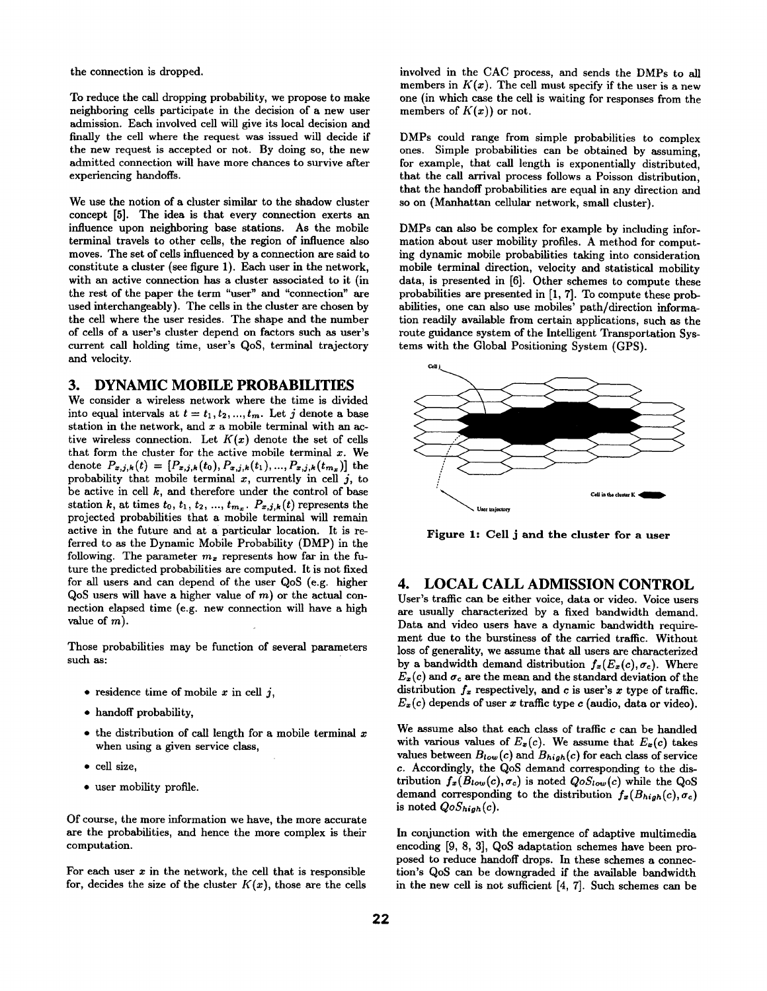the connection is dropped.

To reduce the call dropping probability, we propose to make neighboring cells participate in the decision of a new user admission. Each involved cell will give its local decision and finally the cell where the request was issued will decide if the new request is accepted or not. By doing so, the new admitted connection will have more chances to survive after experiencing handoffs.

We use the notion of a cluster similar to the shadow cluster concept [5]. The idea is that every connection exerts an influence upon neighboring base stations. As the mobile terminal travels to other cells, the region of influence also moves. The set of cells influenced by a connection are said to constitute a cluster (see figure 1). Each user in the network, with an active connection has a cluster associated to it (in the rest of the paper the term "user" and "connection" are used interchangeably). The cells in the cluster are chosen by the cell where the user resides. The shape and the number of cells of a user's cluster depend on factors such as user's current call holding time, user's QoS, terminal trajectory and velocity.

#### **3. DYNAMIC MOBILE PROBABILITIES**

We consider a wireless network where the time is divided into equal intervals at  $t = t_1, t_2, ..., t_m$ . Let j denote a base station in the network, and  $x$  a mobile terminal with an active wireless connection. Let  $K(x)$  denote the set of cells that form the cluster for the active mobile terminal  $x$ . We denote  $P_{x,j,k}(t) = [P_{x,j,k}(t_0), P_{x,j,k}(t_1), ..., P_{x,j,k}(t_{m_x})]$  the probability that mobile terminal  $x$ , currently in cell  $j$ , to be active in cell  $k$ , and therefore under the control of base station k, at times  $t_0, t_1, t_2, ..., t_{m_x}$ .  $P_{x,j,k}(t)$  represents the projected probabilities that a mobile terminal will remain active in the future and at a particular location. It is referred to as the Dynamic Mobile Probability (DMP) in the following. The parameter  $m_x$  represents how far in the future the predicted probabilities are computed. It is not fixed for all users and can depend of the user QoS (e.g. higher  $QoS$  users will have a higher value of m) or the actual connection elapsed time (e.g. new connection will have a high value of m).

Those probabilities may be function of several parameters such as:

- residence time of mobile  $x$  in cell  $j$ ,
- handoff probability,
- $\bullet$  the distribution of call length for a mobile terminal  $x$ when using a given service class,
- cell size,
- user mobility profile.

Of course, the more information we have, the more accurate are the probabilities, and hence the more complex is their computation.

For each user  $x$  in the network, the cell that is responsible for, decides the size of the cluster  $K(x)$ , those are the cells involved in the CAC process, and sends the DMPs to all members in  $K(x)$ . The cell must specify if the user is a new one (in which case the cell is waiting for responses from the members of  $K(x)$ ) or not.

DMPs could range from simple probabilities to complex ones. Simple probabilities can be obtained by assuming, for example, that call length is exponentially distributed, that the call arrival process follows a Poisson distribution, that the handoff probabilities are equal in any direction and so on (Manhattan cellular network, small cluster).

DMPs can also be complex for example by including information about user mobility profiles. A method for computing dynamic mobile probabilities taking into consideration mobile terminal direction, velocity and statistical mobility data, is presented in [6]. Other schemes to compute these probabilities are presented in [1, 7]. To compute these probabilities, one can also use mobiles' path/direction information readily available from certain applications, such as the route guidance system of the Intelligent Transportation Systems with the Global Positioning System (GPS).



**Figure 1: Cell j and the cluster for a user** 

## **4. LOCAL CALL ADMISSION CONTROL**

User's traffic can be either voice, data or video. Voice users are usually characterized by a fixed bandwidth demand. Data and video users have a dynamic bandwidth requirement due to the burstiness of the carried traffic. Without loss of generality, we assume that all users are characterized by a bandwidth demand distribution  $f_{\mathbf{z}}(E_{\mathbf{z}}(c), \sigma_c)$ . Where  $E_x(c)$  and  $\sigma_c$  are the mean and the standard deviation of the distribution  $f_x$  respectively, and c is user's x type of traffic.  $E_x(c)$  depends of user x traffic type c (audio, data or video).

We assume also that each class of traffic c can be handled with various values of  $E_x(c)$ . We assume that  $E_x(c)$  takes values between  $B_{low}(c)$  and  $B_{high}(c)$  for each class of service c. Accordingly, the QoS demand corresponding to the distribution  $f_x(B_{low}(c),\sigma_c)$  is noted  $Q \circ S_{low}(c)$  while the QoS demand corresponding to the distribution  $f_x(B_{high}(c),\sigma_c)$ is noted *QoShigh (c).* 

In conjunction with the emergence of adaptive multimedia encoding [9, 8, 3], QoS adaptation schemes have been proposed to reduce handoff drops. In these schemes a connection's QoS can be downgraded if the available bandwidth in the new cell is not sufficient [4, 7]. Such schemes can be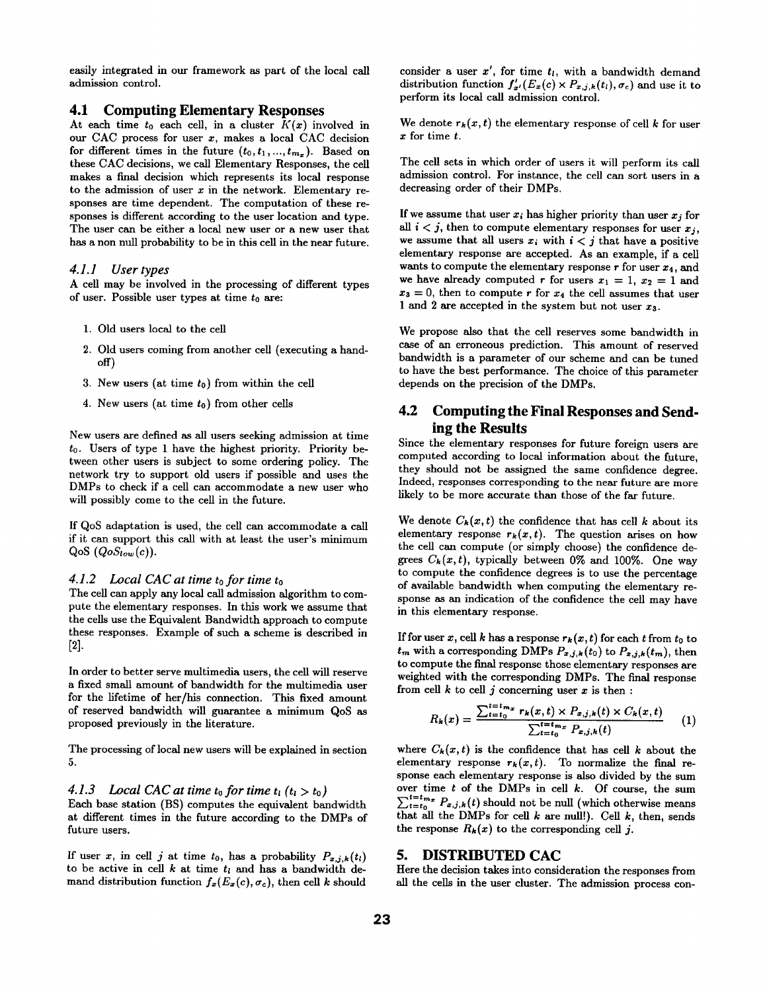easily integrated in our framework as part of the local call admission control.

#### **4.1 Computing Elementary Responses**

At each time  $t_0$  each cell, in a cluster  $K(x)$  involved in our CAC process for user  $x$ , makes a local CAC decision for different times in the future  $(t_0,t_1,...,t_{m_x})$ . Based on these CAC decisions, we call Elementary Responses, the cell makes a final decision which represents its local response to the admission of user  $x$  in the network. Elementary responses are time dependent. The computation of these responses is different according to the user location and type. The user can be either a local new user or a new user that has a non null probability to be in this ceil in the near future.

#### *4.1.1 User types*

A cell may be involved in the processing of different types of user. Possible user types at time  $t_0$  are:

- 1. Old users local to the cell
- 2. Old users coming from another cell (executing a handoff)
- 3. New users (at time  $t_0$ ) from within the cell
- 4. New users (at time  $t_0$ ) from other cells

New users are defined as all users seeking admission at time  $t_0$ . Users of type 1 have the highest priority. Priority between other users is subject to some ordering policy. The network try to support old users if possible and uses the DMPs to check if a cell can accommodate a new user who will possibly come to the cell in the future.

If QoS adaptation is used, the cell can accommodate a call if it can support this call with at least the user's minimum QoS *(QoS, o~(C)).* 

#### *4.1.2 Local CAC at time to for time to*

The cell can apply any local call admission algorithm to compute the elementary responses. In this work we assume that the cells use the Equivalent Bandwidth approach to compute these responses. Example of such a scheme is described in [2].

In order to better serve multimedia users, the cell will reserve a fixed small amount of bandwidth for the multimedia user for the lifetime of her/his connection. This fixed amount of reserved bandwidth will guarantee a minimum QoS as proposed previously in the literature.

The processing of local new users will be explained in section 5.

4.1.3 Local CAC at time  $t_0$  for time  $t_1$  ( $t_1 > t_0$ ) Each base station (BS) computes the equivalent bandwidth at different times in the future according to the DMPs of future users.

If user x, in cell j at time  $t_0$ , has a probability  $P_{x,j,k}(t_1)$ to be active in cell  $k$  at time  $t_l$  and has a bandwidth demand distribution function  $f_x(E_x(c), \sigma_c)$ , then cell k should

consider a user  $x'$ , for time  $t_l$ , with a bandwidth demand distribution function  $f'_{x'}(E_x(c) \times P_{x,j,k}(t_l), \sigma_c)$  and use it to perform its local call admission control.

We denote  $r_k(x, t)$  the elementary response of cell k for user x for time t.

The cell sets in which order of users it will perform its call admission control. For instance, the cell can sort users in a decreasing order of their DMPs.

If we assume that user  $x_i$  has higher priority than user  $x_i$  for all  $i < j$ , then to compute elementary responses for user  $x_j$ , we assume that all users  $x_i$  with  $i < j$  that have a positive elementary response are accepted. As an example, if a cell wants to compute the elementary response  $r$  for user  $x_4$ , and we have already computed r for users  $x_1 = 1$ ,  $x_2 = 1$  and  $x_3 = 0$ , then to compute r for  $x_4$  the cell assumes that user 1 and 2 are accepted in the system but not user  $x_3$ .

We propose also that the cell reserves some bandwidth in case of an erroneous prediction. This amount of reserved bandwidth is a parameter of our scheme and can be tuned to have the best performance. The choice of this parameter depends on the precision of the DMPs.

# **4.2 Computing the Final Responses and Sending the Results**

Since the elementary responses for future foreign users are computed according to local information about the future, they should not be assigned the same confidence degree. Indeed, responses corresponding to the near future are more likely to be more accurate than those of the far future.

We denote  $C_k(x, t)$  the confidence that has cell k about its elementary response  $r_k(x,t)$ . The question arises on how the cell can compute (or simply choose) the confidence degrees  $C_k(x,t)$ , typically between 0% and 100%. One way to compute the confidence degrees is to use the percentage of available bandwidth when computing the elementary response as an indication of the confidence the cell may have in this elementary response.

If for user x, cell k has a response  $r_k(x,t)$  for each t from  $t_0$  to  $t_m$  with a corresponding DMPs  $P_{x,j,k}(t_0)$  to  $P_{x,j,k}(t_m)$ , then to compute the final response those elementary responses are weighted with the corresponding DMPs. The final response from cell  $k$  to cell  $j$  concerning user  $x$  is then :

$$
R_k(x) = \frac{\sum_{t=t_0}^{t=t_{m_x}} r_k(x,t) \times P_{x,j,k}(t) \times C_k(x,t)}{\sum_{t=t_0}^{t=t_{m_x}} P_{x,j,k}(t)} \qquad (1)
$$

where  $C_k(x, t)$  is the confidence that has cell k about the elementary response  $r_k(x,t)$ . To normalize the final response each elementary response is also divided by the sum over time  $t$  of the DMPs in cell  $k$ . Of course, the sum  $\sum_{t=t_0}^{t=t_{m_x}} P_{x,j,k}(t)$  should not be null (which otherwise means that all the DMPs for cell  $k$  are null!). Cell  $k$ , then, sends the response  $R_k(x)$  to the corresponding cell j.

## **5. DISTRIBUTED CAC**

Here the decision takes into consideration the responses from all the cells in the user cluster. The admission process con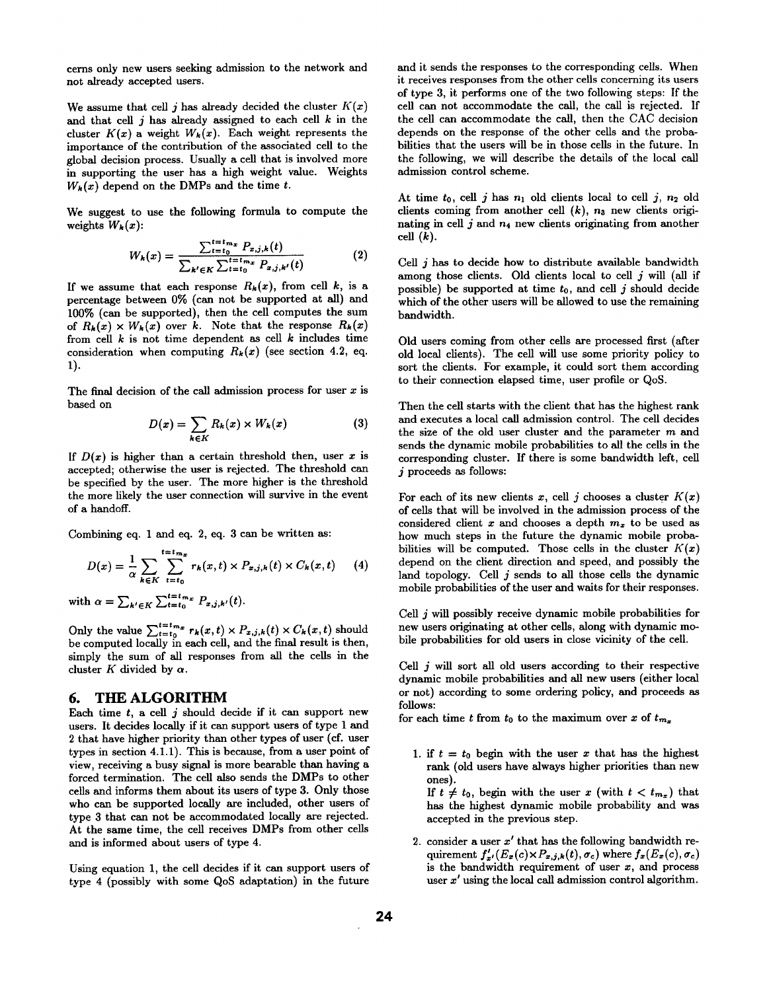cerns only new users seeking admission to the network and not already accepted users.

We assume that cell j has already decided the cluster  $K(x)$ and that cell  $j$  has already assigned to each cell  $k$  in the cluster  $K(x)$  a weight  $W_k(x)$ . Each weight represents the importance of the contribution of the associated cell to the global decision process. Usually a cell that is involved more in supporting the user has a high weight value. Weights  $W_k(x)$  depend on the DMPs and the time t.

We suggest to use the following formula to compute the weights  $W_k(x)$ :

$$
W_k(x) = \frac{\sum_{t=t_0}^{t=t_{m_x}} P_{x,j,k}(t)}{\sum_{k' \in K} \sum_{t=t_0}^{t=t_{m_x}} P_{x,j,k'}(t)}
$$
(2)

If we assume that each response  $R_k(x)$ , from cell k, is a percentage between 0% (can not be supported at all) and 100% (can be supported), then the cell computes the sum of  $R_k(x) \times W_k(x)$  over k. Note that the response  $R_k(x)$ from cell  $k$  is not time dependent as cell  $k$  includes time consideration when computing  $R_k(x)$  (see section 4.2, eq. 1).

The final decision of the call admission process for user  $x$  is based on

$$
D(x) = \sum_{k \in K} R_k(x) \times W_k(x) \tag{3}
$$

If  $D(x)$  is higher than a certain threshold then, user x is accepted; otherwise the user is rejected. The threshold can be specified by the user. The more higher is the threshold the more likely the user connection will survive in the event of a handoff.

Combining eq. 1 and eq. 2, eq. 3 can be written as:

$$
D(x) = \frac{1}{\alpha} \sum_{k \in K} \sum_{t=t_0}^{t=t_{m_x}} r_k(x, t) \times P_{x, j, k}(t) \times C_k(x, t) \qquad (4)
$$

with  $\alpha = \sum_{k' \in K} \sum_{t=t_0}^{t=t_{m_x}} P_{x,j,k'}(t)$ .

Only the value  $\sum_{t=t_0}^{t=t_{m_x}} r_k(x,t) \times P_{x,j,k}(t) \times C_k(x,t)$  should be computed locally in each cell, and the final result is then, simply the sum of all responses from all the cells in the cluster K divided by  $\alpha$ .

## **6. THE ALGORITHM**

Each time  $t$ , a cell  $j$  should decide if it can support new users. It decides locally if it can support users of type 1 and 2 that have higher priority than other types of user (cf. user types in section 4.1.1). This is because, from a user point of view, receiving a busy signal is more bearable than having a forced termination. The cell also sends the DMPs to other cells and informs them about its users of type 3. Only those who can be supported locally are included, other users of type 3 that can not be accommodated locally are rejected. At the same time, the cell receives DMPs from other cells and is informed about users of type 4.

Using equation 1, the cell decides if it can support users of type 4 (possibly with some QoS adaptation) in the future

and it sends the responses to the corresponding cells. When it receives responses from the other cells concerning its users of type 3, it performs one of the two following steps: If the cell can not accommodate the call, the call is rejected. If the cell can accommodate the call, then the CAC decision depends on the response of the other cells and the probabilities that the users will be in those cells in the future. In the following, we will describe the details of the local call admission control scheme.

At time  $t_0$ , cell j has  $n_1$  old clients local to cell j,  $n_2$  old clients coming from another cell  $(k)$ ,  $n_3$  new clients originating in cell  $j$  and  $n_4$  new clients originating from another cell  $(k)$ .

Cell  $j$  has to decide how to distribute available bandwidth among those clients. Old clients local to cell  $j$  will (all if possible) be supported at time  $t_0$ , and cell j should decide which of the other users will be allowed to use the remaining bandwidth.

Old users coming from other cells are processed first (after old local clients). The cell will use some priority policy to sort the clients. For example, it could sort them according to their connection elapsed time, user profile or QoS.

Then the cell starts with the client that has the highest rank and executes a local call admission control. The cell decides the size of the old user cluster and the parameter m and sends the dynamic mobile probabilities to all the cells in the corresponding cluster. If there is some bandwidth left, cell  $j$  proceeds as follows:

For each of its new clients x, cell j chooses a cluster  $K(x)$ of cells that will be involved in the admission process of the considered client x and chooses a depth  $m_x$  to be used as how much steps in the future the dynamic mobile probabilities will be computed. Those cells in the cluster  $K(x)$ depend on the client direction and speed, and possibly the land topology. Cell  $j$  sends to all those cells the dynamic mobile probabilities of the user and waits for their responses.

Cell  $j$  will possibly receive dynamic mobile probabilities for new users originating at other cells, along with dynamic mobile probabilities for old users in close vicinity of the cell.

Cell  $j$  will sort all old users according to their respective dynamic mobile probabilities and all new users (either local or not) according to some ordering policy, and proceeds as follows:

for each time t from  $t_0$  to the maximum over x of  $t_{m_x}$ 

- 1. if  $t = t_0$  begin with the user x that has the highest rank (old users have always higher priorities than new ones). If  $t \neq t_0$ , begin with the user x (with  $t < t_{m_x}$ ) that has the highest dynamic mobile probability and was accepted in the previous step.
- 2. consider a user  $x'$  that has the following bandwidth requirement  $f'_{x'}(E_x(c) \times P_{x,j,k}(t), \sigma_c)$  where  $f_x(E_x(c), \sigma_c)$ is the bandwidth requirement of user  $x$ , and process user x' using the local call admission control algorithm.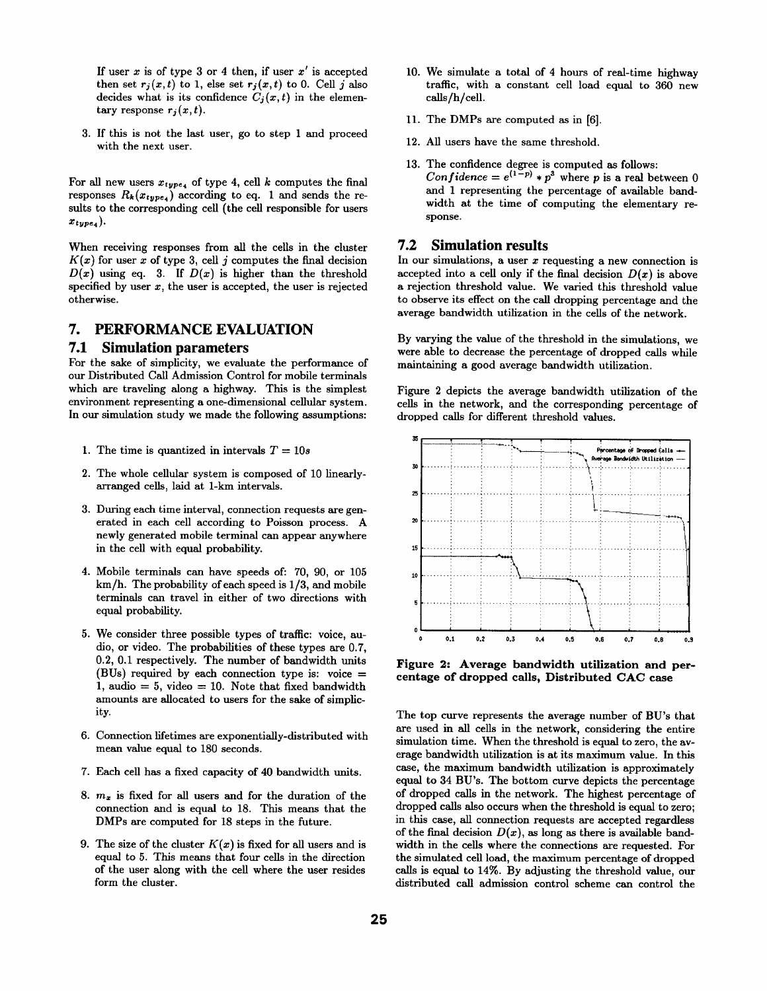If user x is of type 3 or 4 then, if user  $x'$  is accepted then set  $r_j(x,t)$  to 1, else set  $r_j(x,t)$  to 0. Cell j also decides what is its confidence  $C_j(x,t)$  in the elementary response  $r_i(x, t)$ .

3. If this is not the last user, go to step 1 and proceed with the next user.

For all new users  $x_{type_4}$  of type 4, cell  $k$  computes the final responses  $R_k(x_{type_4})$  according to eq. 1 and sends the results to the corresponding cell (the cell responsible for users  $x_{type_4}$ ).

When receiving responses from all the cells in the cluster  $K(x)$  for user x of type 3, cell j computes the final decision  $D(x)$  using eq. 3. If  $D(x)$  is higher than the threshold specified by user  $x$ , the user is accepted, the user is rejected otherwise.

# **7. PERFORMANCE EVALUATION**

# **7.1 Simulation parameters**

For the sake of simplicity, we evaluate the performance of our Distributed Call Admission Control for mobile terminals which are traveling along a highway. This is the simplest environment representing a one-dimensional cellular system. In our simulation study we made the following assumptions:

- 1. The time is quantized in intervals  $T = 10s$
- 2. The whole cellular system is composed of 10 linearlyarranged cells, laid at 1-km intervals.
- 3. During each time interval, connection requests are generated in each cell according to Poisson process. A newly generated mobile terminal can appear anywhere in the cell with equal probability.
- 4. Mobile terminals can have speeds of: 70, 90, or 105 km/h. The probability of each speed is 1/3, and mobile terminals can travel in either of two directions with equal probability.
- 5. We consider three possible types of traffic: voice, audio, or video. The probabilities of these types are 0.7, 0.2, 0.1 respectively. The number of bandwidth units (BUs) required by each connection type is: voice  $=$ 1, audio  $= 5$ , video  $= 10$ . Note that fixed bandwidth amounts are allocated to users for the sake of simplicity.
- 6. Connection lifetimes are exponentially-distributed with mean value equal to 180 seconds.
- 7. Each cell has a fixed capacity of 40 bandwidth units.
- 8.  $m<sub>x</sub>$  is fixed for all users and for the duration of the connection and is equal to 18. This means that the DMPs are computed for 18 steps in the future.
- 9. The size of the cluster  $K(x)$  is fixed for all users and is equal to 5. This means that four cells in the direction of the user along with the cell where the user resides form the cluster.
- 10. We simulate a total of 4 hours of real-time highway traffic, with a constant cell load equal to  $360$  new calls/h/cell.
- 11. The DMPs are computed as in [6].
- 12. All users have the same threshold.
- 13. The confidence degree is computed as follows: *Confidence* =  $e^{(1-p)} * p^3$  where p is a real between 0 and 1 representing the percentage of available bandwidth at the time of computing the elementary response.

#### **7.2 Simulation results**

In our simulations, a user  $x$  requesting a new connection is accepted into a cell only if the final decision  $D(x)$  is above a rejection threshold value. We varied this threshold value to observe its effect on the call dropping percentage and the average bandwidth utilization in the cells of the network.

By varying the value of the threshold in the simulations, we were able to decrease the percentage of dropped calls while maintaining a good average bandwidth utilization.

Figure 2 depicts the average bandwidth utilization of the cells in the network, and the corresponding percentage of dropped calls for different threshold values.



**Figure 2: Average bandwidth utilization and per= centage of dropped calls, Distributed CAC case** 

The top curve represents the average number of BU's that are used in all cells in the network, considering the entire simulation time. When the threshold is equal to zero, the average bandwidth utilization is at its maximum value. In this case, the maximum bandwidth utilization is approximately equal to 34 BU's. The bottom curve depicts the percentage of dropped calls in the network. The highest percentage of dropped calls also occurs when the threshold is equal to zero; in this case, all connection requests are accepted regardless of the final decision  $D(x)$ , as long as there is available bandwidth in the cells where the connections are requested. For the simulated cell load, the maximum percentage of dropped calls is equal to 14%. By adjusting the threshold value, our distributed call admission control scheme can control the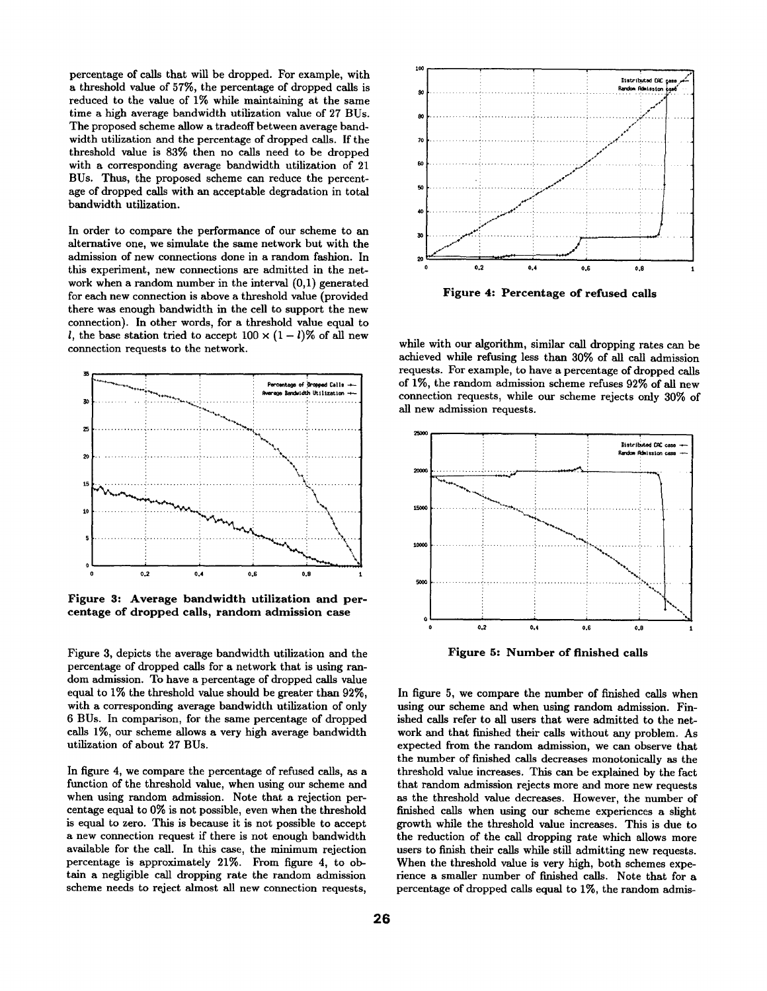percentage of calls that will be dropped. For example, with a threshold value of 57%, the percentage of dropped calls is reduced to the value of 1% while maintaining at the same time a high average bandwidth utilization value of 27 BUs. The proposed scheme allow a tradeoff between average bandwidth utilization and the percentage of dropped calls. If the threshold value is 83% then no calls need to be dropped with a corresponding average bandwidth utilization of 21 BUs. Thus, the proposed scheme can reduce the percentage of dropped calls with an acceptable degradation in total bandwidth utilization.

In order to compare the performance of our scheme to an alternative one, we simulate the same network but with the admission of new connections done in a random fashion. In this experiment, new connections are admitted in the network when a random number in the interval (0,1) generated for each new connection is above a threshold value (provided there was enough bandwidth in the cell to support the new connection). In other words, for a threshold value equal to l, the base station tried to accept  $100 \times (1 - l)\%$  of all new connection requests to the network.



**Figure 3: Average bandwidth utilization and percentage of dropped calls, random admission case** 

Figure 3, depicts the average bandwidth utilization and the percentage of dropped calls for a network that is using random admission. To have a percentage of dropped calls value equal to 1% the threshold value should be greater than 92%, with a corresponding average bandwidth utilization of only 6 BUs. In comparison, for the same percentage of dropped calls 1%, our scheme allows a very high average bandwidth utilization of about 27 BUs.

In figure 4, we compare the percentage of refused calls, as a function of the threshold value, when using our scheme and when using random admission. Note that a rejection percentage equal to 0% is not possible, even when the threshold is equal to zero. This is because it is not possible to accept a new connection request if there is not enough bandwidth available for the call. In this case, the minimum rejection percentage is approximately 21%. From figure 4, to obtain a negligible call dropping rate the random admission scheme needs to reject almost all new connection requests,



**Figure 4: Percentage of refused calls** 

while with our algorithm, similar call dropping rates can be achieved while refusing less than 30% of all call admission requests. For example, to have a percentage of dropped calls of 1%, the random admission scheme refuses 92% of all new connection requests, while our scheme rejects only 30% of all new admission requests.



**Figure 5: Number of finished calls** 

In figure 5, we compare the number of finished calls when using our scheme and when using random admission. Finished calls refer to all users that were admitted to the network and that finished their calls without any problem. As expected from the random admission, we can observe that the number of finished calls decreases monotonically as the threshold value increases. This can be explained by the fact that random admission rejects more and more new requests as the threshold value decreases. However, the number of finished calls when using our scheme experiences a slight growth while the threshold value increases. This is due to the reduction of the call dropping rate which allows more users to finish their calls while still admitting new requests. When the threshold value is very high, both schemes experience a smaller number of finished calls. Note that for a percentage of dropped calls equal to 1%, the random admis